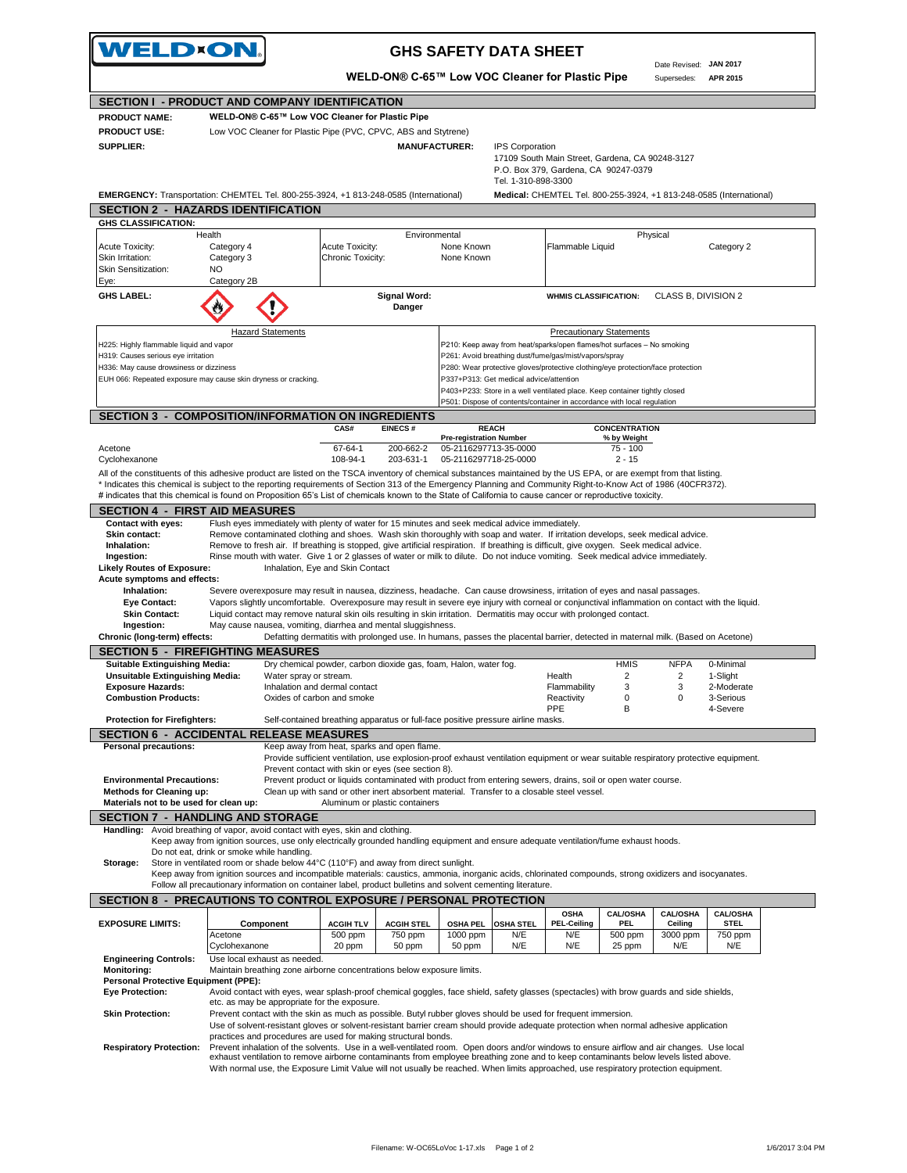| <b>WELD×ON.</b>                                                                                                                                                                                                                                                                                                             |                                            |                                                                                     |                                | <b>GHS SAFETY DATA SHEET</b>                                                                                                                                                                                                                                                      |                                                                     |                                     | Date Revised: JAN 2017     |                                |  |
|-----------------------------------------------------------------------------------------------------------------------------------------------------------------------------------------------------------------------------------------------------------------------------------------------------------------------------|--------------------------------------------|-------------------------------------------------------------------------------------|--------------------------------|-----------------------------------------------------------------------------------------------------------------------------------------------------------------------------------------------------------------------------------------------------------------------------------|---------------------------------------------------------------------|-------------------------------------|----------------------------|--------------------------------|--|
|                                                                                                                                                                                                                                                                                                                             |                                            |                                                                                     |                                | WELD-ON® C-65™ Low VOC Cleaner for Plastic Pipe                                                                                                                                                                                                                                   |                                                                     |                                     | Supersedes:                | APR 2015                       |  |
| SECTION I - PRODUCT AND COMPANY IDENTIFICATION                                                                                                                                                                                                                                                                              |                                            |                                                                                     |                                |                                                                                                                                                                                                                                                                                   |                                                                     |                                     |                            |                                |  |
| <b>PRODUCT NAME:</b>                                                                                                                                                                                                                                                                                                        |                                            | WELD-ON® C-65™ Low VOC Cleaner for Plastic Pipe                                     |                                |                                                                                                                                                                                                                                                                                   |                                                                     |                                     |                            |                                |  |
| <b>PRODUCT USE:</b>                                                                                                                                                                                                                                                                                                         |                                            | Low VOC Cleaner for Plastic Pipe (PVC, CPVC, ABS and Stytrene)                      |                                |                                                                                                                                                                                                                                                                                   |                                                                     |                                     |                            |                                |  |
| SUPPLIER:                                                                                                                                                                                                                                                                                                                   |                                            |                                                                                     | <b>MANUFACTURER:</b>           | <b>IPS Corporation</b>                                                                                                                                                                                                                                                            | 17109 South Main Street, Gardena, CA 90248-3127                     |                                     |                            |                                |  |
|                                                                                                                                                                                                                                                                                                                             |                                            |                                                                                     |                                | P.O. Box 379, Gardena, CA 90247-0379                                                                                                                                                                                                                                              |                                                                     |                                     |                            |                                |  |
|                                                                                                                                                                                                                                                                                                                             |                                            |                                                                                     |                                | Tel. 1-310-898-3300                                                                                                                                                                                                                                                               |                                                                     |                                     |                            |                                |  |
| EMERGENCY: Transportation: CHEMTEL Tel. 800-255-3924, +1 813-248-0585 (International)                                                                                                                                                                                                                                       |                                            |                                                                                     |                                |                                                                                                                                                                                                                                                                                   | Medical: CHEMTEL Tel. 800-255-3924, +1 813-248-0585 (International) |                                     |                            |                                |  |
| <b>SECTION 2 - HAZARDS IDENTIFICATION</b>                                                                                                                                                                                                                                                                                   |                                            |                                                                                     |                                |                                                                                                                                                                                                                                                                                   |                                                                     |                                     |                            |                                |  |
| <b>GHS CLASSIFICATION:</b><br>Health                                                                                                                                                                                                                                                                                        |                                            |                                                                                     | Environmental                  |                                                                                                                                                                                                                                                                                   |                                                                     |                                     | Physical                   |                                |  |
| Acute Toxicity:                                                                                                                                                                                                                                                                                                             | Category 4                                 | <b>Acute Toxicity:</b>                                                              |                                | None Known                                                                                                                                                                                                                                                                        | Flammable Liquid                                                    |                                     |                            | Category 2                     |  |
| Skin Irritation:                                                                                                                                                                                                                                                                                                            | Category 3                                 | Chronic Toxicity:                                                                   |                                | None Known                                                                                                                                                                                                                                                                        |                                                                     |                                     |                            |                                |  |
| Skin Sensitization:                                                                                                                                                                                                                                                                                                         | NO                                         |                                                                                     |                                |                                                                                                                                                                                                                                                                                   |                                                                     |                                     |                            |                                |  |
| Eye:<br><b>GHS LABEL:</b>                                                                                                                                                                                                                                                                                                   | Category 2B                                |                                                                                     | <b>Signal Word:</b>            |                                                                                                                                                                                                                                                                                   | <b>WHMIS CLASSIFICATION:</b>                                        |                                     | CLASS B, DIVISION 2        |                                |  |
|                                                                                                                                                                                                                                                                                                                             |                                            |                                                                                     | Danger                         |                                                                                                                                                                                                                                                                                   |                                                                     |                                     |                            |                                |  |
|                                                                                                                                                                                                                                                                                                                             | <b>Hazard Statements</b>                   |                                                                                     |                                |                                                                                                                                                                                                                                                                                   | <b>Precautionary Statements</b>                                     |                                     |                            |                                |  |
| H225: Highly flammable liquid and vapor                                                                                                                                                                                                                                                                                     |                                            |                                                                                     |                                | P210: Keep away from heat/sparks/open flames/hot surfaces - No smoking                                                                                                                                                                                                            |                                                                     |                                     |                            |                                |  |
| H319: Causes serious eye irritation                                                                                                                                                                                                                                                                                         |                                            |                                                                                     |                                | P261: Avoid breathing dust/fume/gas/mist/vapors/spray                                                                                                                                                                                                                             |                                                                     |                                     |                            |                                |  |
| H336: May cause drowsiness or dizziness                                                                                                                                                                                                                                                                                     |                                            |                                                                                     |                                | P280: Wear protective gloves/protective clothing/eye protection/face protection                                                                                                                                                                                                   |                                                                     |                                     |                            |                                |  |
| EUH 066: Repeated exposure may cause skin dryness or cracking.                                                                                                                                                                                                                                                              |                                            |                                                                                     |                                | P337+P313: Get medical advice/attention<br>P403+P233: Store in a well ventilated place. Keep container tightly closed                                                                                                                                                             |                                                                     |                                     |                            |                                |  |
|                                                                                                                                                                                                                                                                                                                             |                                            |                                                                                     |                                | P501: Dispose of contents/container in accordance with local regulation                                                                                                                                                                                                           |                                                                     |                                     |                            |                                |  |
| <b>SECTION 3 - COMPOSITION/INFORMATION ON INGREDIENTS</b>                                                                                                                                                                                                                                                                   |                                            |                                                                                     |                                |                                                                                                                                                                                                                                                                                   |                                                                     |                                     |                            |                                |  |
|                                                                                                                                                                                                                                                                                                                             |                                            | CAS#                                                                                | <b>EINECS#</b>                 | <b>REACH</b><br><b>Pre-registration Number</b>                                                                                                                                                                                                                                    |                                                                     | <b>CONCENTRATION</b><br>% by Weight |                            |                                |  |
| Acetone                                                                                                                                                                                                                                                                                                                     |                                            | 67-64-1                                                                             | 200-662-2                      | 05-2116297713-35-0000                                                                                                                                                                                                                                                             |                                                                     | $75 - 100$                          |                            |                                |  |
| Cyclohexanone                                                                                                                                                                                                                                                                                                               |                                            | 108-94-1                                                                            | 203-631-1                      | 05-2116297718-25-0000                                                                                                                                                                                                                                                             |                                                                     | $2 - 15$                            |                            |                                |  |
| All of the constituents of this adhesive product are listed on the TSCA inventory of chemical substances maintained by the US EPA, or are exempt from that listing.                                                                                                                                                         |                                            |                                                                                     |                                |                                                                                                                                                                                                                                                                                   |                                                                     |                                     |                            |                                |  |
| * Indicates this chemical is subject to the reporting requirements of Section 313 of the Emergency Planning and Community Right-to-Know Act of 1986 (40CFR372).<br># indicates that this chemical is found on Proposition 65's List of chemicals known to the State of California to cause cancer or reproductive toxicity. |                                            |                                                                                     |                                |                                                                                                                                                                                                                                                                                   |                                                                     |                                     |                            |                                |  |
| <b>SECTION 4 - FIRST AID MEASURES</b>                                                                                                                                                                                                                                                                                       |                                            |                                                                                     |                                |                                                                                                                                                                                                                                                                                   |                                                                     |                                     |                            |                                |  |
|                                                                                                                                                                                                                                                                                                                             |                                            |                                                                                     |                                |                                                                                                                                                                                                                                                                                   |                                                                     |                                     |                            |                                |  |
|                                                                                                                                                                                                                                                                                                                             |                                            |                                                                                     |                                |                                                                                                                                                                                                                                                                                   |                                                                     |                                     |                            |                                |  |
| Contact with eyes:<br>Skin contact:                                                                                                                                                                                                                                                                                         |                                            |                                                                                     |                                | Flush eyes immediately with plenty of water for 15 minutes and seek medical advice immediately.<br>Remove contaminated clothing and shoes. Wash skin thoroughly with soap and water. If irritation develops, seek medical advice.                                                 |                                                                     |                                     |                            |                                |  |
| Inhalation:                                                                                                                                                                                                                                                                                                                 |                                            |                                                                                     |                                | Remove to fresh air. If breathing is stopped, give artificial respiration. If breathing is difficult, give oxygen. Seek medical advice.                                                                                                                                           |                                                                     |                                     |                            |                                |  |
| Ingestion:                                                                                                                                                                                                                                                                                                                  |                                            |                                                                                     |                                | Rinse mouth with water. Give 1 or 2 glasses of water or milk to dilute. Do not induce vomiting. Seek medical advice immediately.                                                                                                                                                  |                                                                     |                                     |                            |                                |  |
| <b>Likely Routes of Exposure:</b><br>Acute symptoms and effects:                                                                                                                                                                                                                                                            |                                            | Inhalation, Eye and Skin Contact                                                    |                                |                                                                                                                                                                                                                                                                                   |                                                                     |                                     |                            |                                |  |
| Inhalation:                                                                                                                                                                                                                                                                                                                 |                                            |                                                                                     |                                | Severe overexposure may result in nausea, dizziness, headache. Can cause drowsiness, irritation of eyes and nasal passages.                                                                                                                                                       |                                                                     |                                     |                            |                                |  |
| <b>Eye Contact:</b>                                                                                                                                                                                                                                                                                                         |                                            |                                                                                     |                                | Vapors slightly uncomfortable. Overexposure may result in severe eye injury with corneal or conjunctival inflammation on contact with the liquid.                                                                                                                                 |                                                                     |                                     |                            |                                |  |
| <b>Skin Contact:</b><br>Ingestion:                                                                                                                                                                                                                                                                                          |                                            | May cause nausea, vomiting, diarrhea and mental sluggishness.                       |                                | Liquid contact may remove natural skin oils resulting in skin irritation. Dermatitis may occur with prolonged contact.                                                                                                                                                            |                                                                     |                                     |                            |                                |  |
| Chronic (long-term) effects:                                                                                                                                                                                                                                                                                                |                                            |                                                                                     |                                | Defatting dermatitis with prolonged use. In humans, passes the placental barrier, detected in maternal milk. (Based on Acetone)                                                                                                                                                   |                                                                     |                                     |                            |                                |  |
| <b>SECTION 5 - FIREFIGHTING MEASURES</b>                                                                                                                                                                                                                                                                                    |                                            |                                                                                     |                                |                                                                                                                                                                                                                                                                                   |                                                                     |                                     |                            |                                |  |
| <b>Suitable Extinguishing Media:</b>                                                                                                                                                                                                                                                                                        |                                            | Dry chemical powder, carbon dioxide gas, foam, Halon, water fog.                    |                                |                                                                                                                                                                                                                                                                                   |                                                                     | <b>HMIS</b>                         | <b>NFPA</b>                | 0-Minimal                      |  |
| <b>Unsuitable Extinguishing Media:</b>                                                                                                                                                                                                                                                                                      |                                            | Water spray or stream.                                                              |                                |                                                                                                                                                                                                                                                                                   | Health                                                              | 2                                   | 2                          | 1-Slight                       |  |
| <b>Exposure Hazards:</b><br><b>Combustion Products:</b>                                                                                                                                                                                                                                                                     |                                            | Inhalation and dermal contact<br>Oxides of carbon and smoke                         |                                |                                                                                                                                                                                                                                                                                   | Flammability<br>Reactivity                                          | 3<br>0                              | 3<br>0                     | 2-Moderate<br>3-Serious        |  |
|                                                                                                                                                                                                                                                                                                                             |                                            |                                                                                     |                                |                                                                                                                                                                                                                                                                                   | PPE                                                                 | B                                   |                            | 4-Severe                       |  |
| <b>Protection for Firefighters:</b>                                                                                                                                                                                                                                                                                         |                                            |                                                                                     |                                | Self-contained breathing apparatus or full-face positive pressure airline masks.                                                                                                                                                                                                  |                                                                     |                                     |                            |                                |  |
| <b>SECTION 6 - ACCIDENTAL RELEASE MEASURES</b>                                                                                                                                                                                                                                                                              |                                            |                                                                                     |                                |                                                                                                                                                                                                                                                                                   |                                                                     |                                     |                            |                                |  |
| <b>Personal precautions:</b>                                                                                                                                                                                                                                                                                                |                                            | Keep away from heat, sparks and open flame.                                         |                                | Provide sufficient ventilation, use explosion-proof exhaust ventilation equipment or wear suitable respiratory protective equipment.                                                                                                                                              |                                                                     |                                     |                            |                                |  |
|                                                                                                                                                                                                                                                                                                                             |                                            | Prevent contact with skin or eyes (see section 8).                                  |                                |                                                                                                                                                                                                                                                                                   |                                                                     |                                     |                            |                                |  |
| <b>Environmental Precautions:</b>                                                                                                                                                                                                                                                                                           |                                            |                                                                                     |                                | Prevent product or liquids contaminated with product from entering sewers, drains, soil or open water course.                                                                                                                                                                     |                                                                     |                                     |                            |                                |  |
| Methods for Cleaning up:<br>Materials not to be used for clean up:                                                                                                                                                                                                                                                          |                                            |                                                                                     | Aluminum or plastic containers | Clean up with sand or other inert absorbent material. Transfer to a closable steel vessel.                                                                                                                                                                                        |                                                                     |                                     |                            |                                |  |
| <b>SECTION 7 - HANDLING AND STORAGE</b>                                                                                                                                                                                                                                                                                     |                                            |                                                                                     |                                |                                                                                                                                                                                                                                                                                   |                                                                     |                                     |                            |                                |  |
| Handling: Avoid breathing of vapor, avoid contact with eyes, skin and clothing.                                                                                                                                                                                                                                             |                                            |                                                                                     |                                |                                                                                                                                                                                                                                                                                   |                                                                     |                                     |                            |                                |  |
|                                                                                                                                                                                                                                                                                                                             |                                            |                                                                                     |                                | Keep away from ignition sources, use only electrically grounded handling equipment and ensure adequate ventilation/fume exhaust hoods.                                                                                                                                            |                                                                     |                                     |                            |                                |  |
|                                                                                                                                                                                                                                                                                                                             | Do not eat, drink or smoke while handling. |                                                                                     |                                |                                                                                                                                                                                                                                                                                   |                                                                     |                                     |                            |                                |  |
| Storage:                                                                                                                                                                                                                                                                                                                    |                                            | Store in ventilated room or shade below 44°C (110°F) and away from direct sunlight. |                                | Keep away from ignition sources and incompatible materials: caustics, ammonia, inorganic acids, chlorinated compounds, strong oxidizers and isocyanates.                                                                                                                          |                                                                     |                                     |                            |                                |  |
|                                                                                                                                                                                                                                                                                                                             |                                            |                                                                                     |                                | Follow all precautionary information on container label, product bulletins and solvent cementing literature.                                                                                                                                                                      |                                                                     |                                     |                            |                                |  |
| <b>SECTION 8 - PRECAUTIONS TO CONTROL EXPOSURE / PERSONAL PROTECTION</b>                                                                                                                                                                                                                                                    |                                            |                                                                                     |                                |                                                                                                                                                                                                                                                                                   |                                                                     |                                     |                            |                                |  |
|                                                                                                                                                                                                                                                                                                                             | Component                                  | <b>ACGIH TLV</b>                                                                    | <b>ACGIH STEL</b>              | <b>OSHA PEL</b><br><b>OSHA STEL</b>                                                                                                                                                                                                                                               | <b>OSHA</b><br><b>PEL-Ceiling</b>                                   | <b>CAL/OSHA</b><br><b>PEL</b>       | <b>CAL/OSHA</b><br>Ceiling | <b>CAL/OSHA</b><br><b>STEL</b> |  |
|                                                                                                                                                                                                                                                                                                                             | Acetone                                    | 500 ppm                                                                             | 750 ppm                        | 1000 ppm<br>N/E                                                                                                                                                                                                                                                                   | N/E                                                                 | 500 ppm                             | 3000 ppm                   | 750 ppm                        |  |
| <b>EXPOSURE LIMITS:</b>                                                                                                                                                                                                                                                                                                     | Cyclohexanone                              | 20 ppm                                                                              | 50 ppm                         | 50 ppm<br>N/E                                                                                                                                                                                                                                                                     | N/E                                                                 | 25 ppm                              | N/E                        | N/E                            |  |
| <b>Engineering Controls:</b>                                                                                                                                                                                                                                                                                                | Use local exhaust as needed.               |                                                                                     |                                |                                                                                                                                                                                                                                                                                   |                                                                     |                                     |                            |                                |  |
| <b>Monitoring:</b><br><b>Personal Protective Equipment (PPE):</b>                                                                                                                                                                                                                                                           |                                            | Maintain breathing zone airborne concentrations below exposure limits.              |                                |                                                                                                                                                                                                                                                                                   |                                                                     |                                     |                            |                                |  |
| <b>Eye Protection:</b>                                                                                                                                                                                                                                                                                                      |                                            |                                                                                     |                                | Avoid contact with eyes, wear splash-proof chemical goggles, face shield, safety glasses (spectacles) with brow guards and side shields,                                                                                                                                          |                                                                     |                                     |                            |                                |  |
|                                                                                                                                                                                                                                                                                                                             |                                            | etc. as may be appropriate for the exposure.                                        |                                |                                                                                                                                                                                                                                                                                   |                                                                     |                                     |                            |                                |  |
| <b>Skin Protection:</b>                                                                                                                                                                                                                                                                                                     |                                            |                                                                                     |                                | Prevent contact with the skin as much as possible. Butyl rubber gloves should be used for frequent immersion.                                                                                                                                                                     |                                                                     |                                     |                            |                                |  |
|                                                                                                                                                                                                                                                                                                                             |                                            | practices and procedures are used for making structural bonds.                      |                                | Use of solvent-resistant gloves or solvent-resistant barrier cream should provide adequate protection when normal adhesive application                                                                                                                                            |                                                                     |                                     |                            |                                |  |
| <b>Respiratory Protection:</b>                                                                                                                                                                                                                                                                                              |                                            |                                                                                     |                                | Prevent inhalation of the solvents. Use in a well-ventilated room. Open doors and/or windows to ensure airflow and air changes. Use local<br>exhaust ventilation to remove airborne contaminants from employee breathing zone and to keep contaminants below levels listed above. |                                                                     |                                     |                            |                                |  |